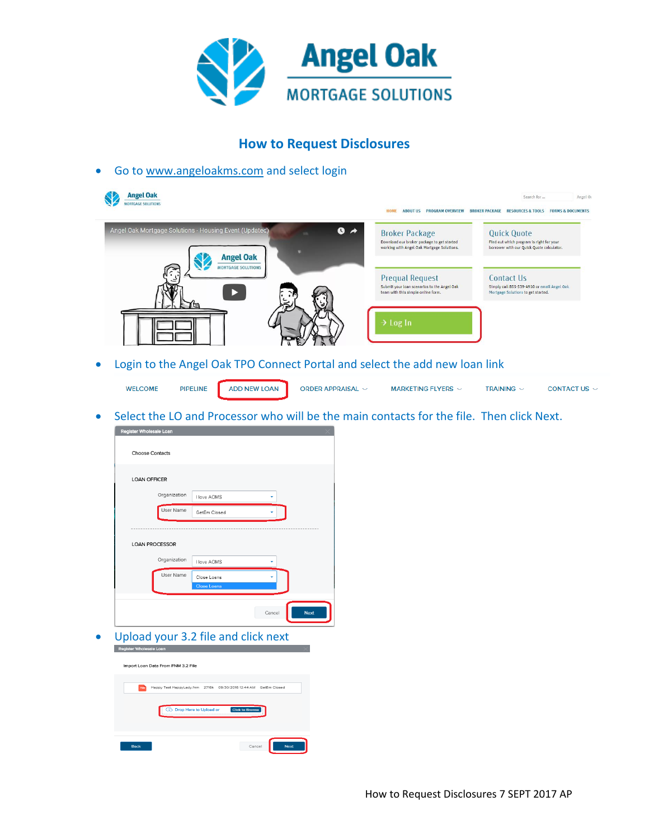

## **How to Request Disclosures**

Go t[o www.angeloakms.com](http://www.angeloakms.com/) and select login



Login to the Angel Oak TPO Connect Portal and select the add new loan link

**WELCOME PIPELINE ADD NEW LOAN** ORDER APPRAISAL  $\sim$ MARKETING FLYERS  $\sim$ TRAINING  $\sim$ CONTACT US  $\sim$ 

Select the LO and Processor who will be the main contacts for the file. Then click Next.

|                                    | Register Wholesale Loan                                         |                        |             |
|------------------------------------|-----------------------------------------------------------------|------------------------|-------------|
| <b>Choose Contacts</b>             |                                                                 |                        |             |
| <b>LOAN OFFICER</b>                |                                                                 |                        |             |
|                                    | Organization<br>I love AOMS                                     |                        |             |
|                                    | User Name<br>GetEm Closed                                       |                        |             |
| <b>LOAN PROCESSOR</b>              |                                                                 |                        |             |
|                                    | Organization<br>I love AOMS                                     |                        |             |
|                                    | User Name<br>Close Loans<br><b>Close Loans</b>                  |                        |             |
|                                    |                                                                 | Cancel                 | <b>Next</b> |
|                                    | Upload your 3.2 file and click next                             |                        |             |
| Register Wholesale Loan            |                                                                 |                        |             |
|                                    |                                                                 |                        |             |
| Import Loan Data From FNM 3.2 File |                                                                 |                        |             |
| nw                                 | Happy Test HappyLady.fnm 2716k 09/30/2016 12:44 AM GetEm Closed |                        |             |
|                                    | Ci Drop Here to Upload or                                       | <b>Click to Browse</b> |             |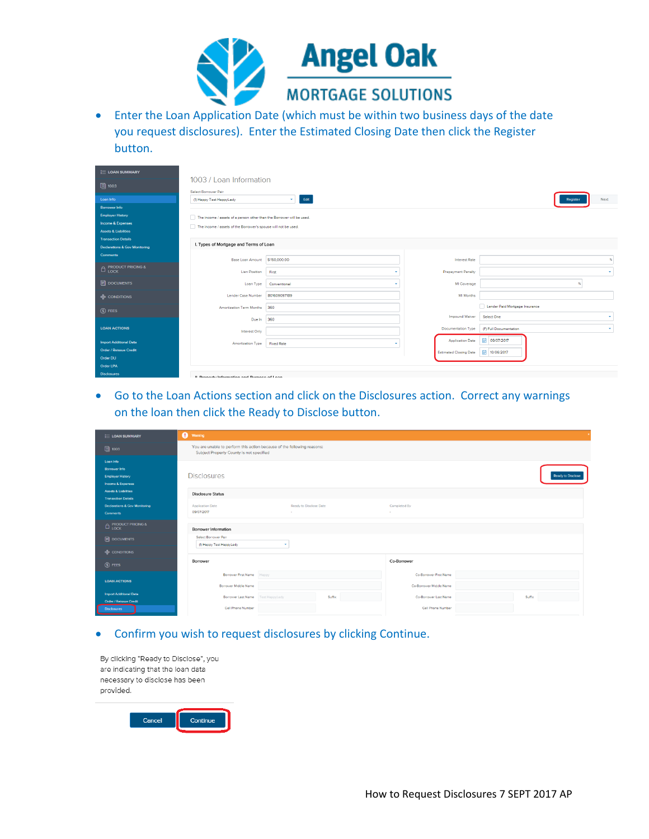

 Enter the Loan Application Date (which must be within two business days of the date you request disclosures). Enter the Estimated Closing Date then click the Register button.

| <b>E LOAN SUMMARY</b>                                                  |                                                                       |                   |                               |                                |
|------------------------------------------------------------------------|-----------------------------------------------------------------------|-------------------|-------------------------------|--------------------------------|
| 圓 1003                                                                 | 1003 / Loan Information<br>Select Borrower Pair                       |                   |                               |                                |
| Loan Info                                                              | (1) Heppy Test HeppyLedy                                              | Edit              |                               | Next                           |
| <b>Borrower Info</b>                                                   |                                                                       |                   |                               |                                |
| <b>Employer History</b>                                                | The income / assets of a person other than the Borrower will be used. |                   |                               |                                |
| Income & Expenses                                                      | The income / assets of the Borrower's spouse will not be used.        |                   |                               |                                |
| <b>Assets &amp; Liabilities</b>                                        |                                                                       |                   |                               |                                |
| <b>Transaction Details</b>                                             | I. Types of Mortgage and Terms of Loan                                |                   |                               |                                |
| Declarations & Gov Monitoring                                          |                                                                       |                   |                               |                                |
| <b>Comments</b>                                                        | Base Loan Amount                                                      | \$150,000.00      | <b>Interest Rate</b>          |                                |
| $\fbox{\parbox{3.5cm}{${\cal P}~{\sf RODUCT~PRICING~\&}\\ {\sf Lock}}$ | Lien Position                                                         | First             | <b>Prepayment Penalty</b>     |                                |
| <b>DOCUMENTS</b>                                                       | Loan Type                                                             | Conventional      | MI Coverage                   |                                |
| <b>ONDITIONS</b>                                                       | Lender Case Number                                                    | 801609097189      | MI Months                     |                                |
| S FEES                                                                 | Amortization Term Months                                              | 360               |                               | Lender Paid Mortgage Insurance |
|                                                                        | Due In                                                                | 360               | <b>Impound Waiver</b>         | Select One<br>٠                |
| <b>LOAN ACTIONS</b>                                                    | Interest Only                                                         |                   | Documentation Type            | (F) Full Documentation         |
| <b>Import Additional Data</b>                                          | Amortization Type                                                     | <b>Fixed Rate</b> | <b>Application Date</b>       | □ 09/07/2017                   |
| Order / Reissue Credit                                                 |                                                                       |                   | <b>Estimated Closing Date</b> | ■ 10/06/2017                   |
| Order DU                                                               |                                                                       |                   |                               |                                |
| Order LPA                                                              |                                                                       |                   |                               |                                |
| <b>Disclosures</b>                                                     | Il Draparty Information and Durageo of Loan                           |                   |                               |                                |

 Go to the Loan Actions section and click on the Disclosures action. Correct any warnings on the loan then click the Ready to Disclose button.

| <b>E LOAN SUMMARY</b>                                                             | <b>O</b> Warning                                                                                                    |        |                                                   |        |
|-----------------------------------------------------------------------------------|---------------------------------------------------------------------------------------------------------------------|--------|---------------------------------------------------|--------|
| 圓 1003                                                                            | You are unable to perform this action because of the following reasons:<br>Subject Property County is not specified |        |                                                   |        |
| Loan Info<br><b>Borrower Info</b><br><b>Employer History</b><br>Income & Expenses | <b>Disclosures</b>                                                                                                  |        |                                                   |        |
| <b>Assets &amp; Liabilities</b><br><b>Transaction Details</b>                     | <b>Disclosure Status</b>                                                                                            |        |                                                   |        |
| <b>Declarations &amp; Gov Monitoring</b><br>Comments                              | Ready to Disclose Date<br><b>Application Date</b><br>09/07/2017<br>$\sim$                                           |        | Completed By<br>$\sim$                            |        |
| <b>E</b> PRODUCT PRICING &                                                        | Borrower Information                                                                                                |        |                                                   |        |
| <b>E</b> DOCUMENTS                                                                | Select Borrower Pair                                                                                                |        |                                                   |        |
| <b>&amp; CONDITIONS</b>                                                           | (1) Heppy Test HeppyLedy<br>$\overline{\phantom{a}}$                                                                |        |                                                   |        |
| $S$ FEES                                                                          | Borrower                                                                                                            |        | Co-Borrower                                       |        |
| <b>LOAN ACTIONS</b>                                                               | Borrower First Name Happy<br>Borrower Middle Name                                                                   |        | Co-Borrower First Name<br>Co-Borrower Middle Name |        |
| <b>Import Additional Data</b><br><b>Order / Reissue Credit</b>                    | Borrower Last Name   Test HappyLady                                                                                 | Suffix | Co-Borrower Last Name                             | Suffix |
| <b>Disclosures</b>                                                                | Cell Phone Number                                                                                                   |        | Cell Phone Number                                 |        |

## Confirm you wish to request disclosures by clicking Continue.

| By clicking "Ready to Disclose", you<br>are indicating that the loan data<br>necessary to disclose has been<br>provided. |        |          |  |
|--------------------------------------------------------------------------------------------------------------------------|--------|----------|--|
|                                                                                                                          | Cancel | Continue |  |